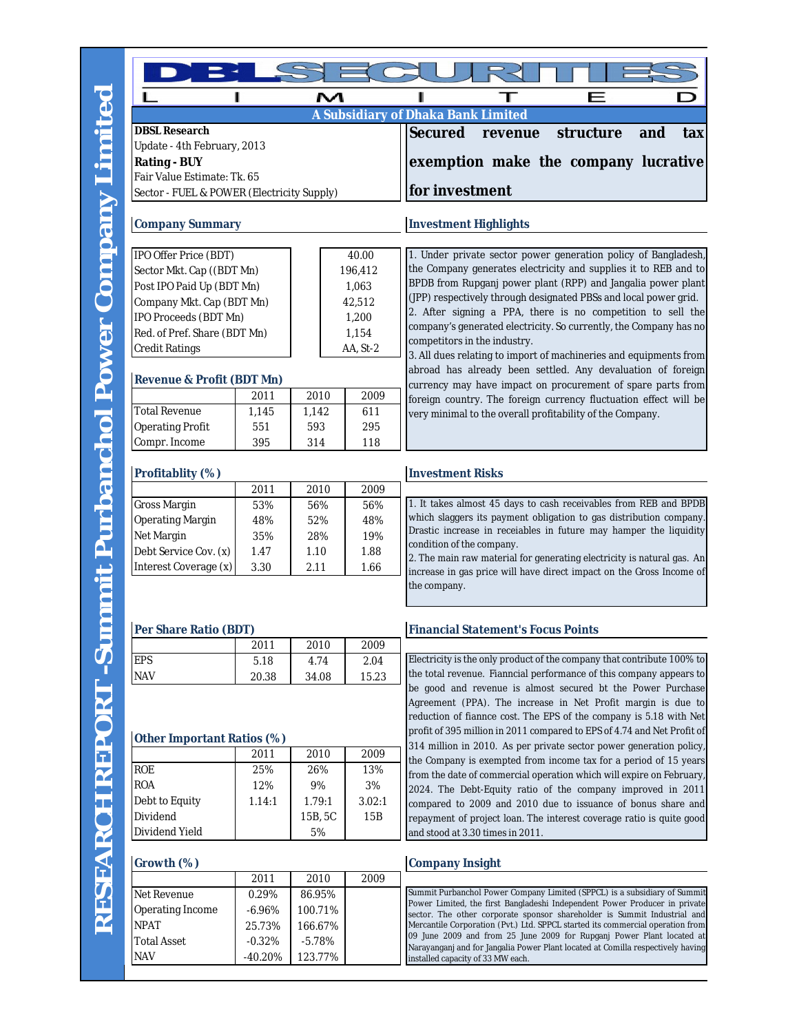NAV -40.20% 123.77%

|                                                |              | M            |              |                                                                                                                                                                                                   |  |  |  |  |  |
|------------------------------------------------|--------------|--------------|--------------|---------------------------------------------------------------------------------------------------------------------------------------------------------------------------------------------------|--|--|--|--|--|
|                                                |              |              |              | A Subsidiary of Dhaka Bank Limited                                                                                                                                                                |  |  |  |  |  |
| <b>DBSL Research</b>                           |              |              |              | <b>Secured</b><br>structure<br>and<br>revenue<br>tax                                                                                                                                              |  |  |  |  |  |
| Update - 4th February, 2013                    |              |              |              |                                                                                                                                                                                                   |  |  |  |  |  |
| <b>Rating - BUY</b>                            |              |              |              | exemption make the company lucrative                                                                                                                                                              |  |  |  |  |  |
| Fair Value Estimate: Tk. 65                    |              |              |              |                                                                                                                                                                                                   |  |  |  |  |  |
| Sector - FUEL & POWER (Electricity Supply)     |              |              |              | for investment                                                                                                                                                                                    |  |  |  |  |  |
| <b>Company Summary</b>                         |              |              |              | <b>Investment Highlights</b>                                                                                                                                                                      |  |  |  |  |  |
| IPO Offer Price (BDT)<br>40.00                 |              |              |              | 1. Under private sector power generation policy of Bangladesh,<br>the Company generates electricity and supplies it to REB and to<br>BPDB from Rupganj power plant (RPP) and Jangalia power plant |  |  |  |  |  |
| Sector Mkt. Cap ((BDT Mn)                      |              | 196,412      |              |                                                                                                                                                                                                   |  |  |  |  |  |
| Post IPO Paid Up (BDT Mn)                      |              | 1,063        |              |                                                                                                                                                                                                   |  |  |  |  |  |
| Company Mkt. Cap (BDT Mn)                      |              | 42,512       |              | (JPP) respectively through designated PBSs and local power grid.<br>2. After signing a PPA, there is no competition to sell the                                                                   |  |  |  |  |  |
| IPO Proceeds (BDT Mn)                          |              | 1,200        |              | company's generated electricity. So currently, the Company has no<br>competitors in the industry.<br>3. All dues relating to import of machineries and equipments from                            |  |  |  |  |  |
| Red. of Pref. Share (BDT Mn)                   |              | 1,154        |              |                                                                                                                                                                                                   |  |  |  |  |  |
| <b>Credit Ratings</b>                          |              | AA, St-2     |              |                                                                                                                                                                                                   |  |  |  |  |  |
| <b>Revenue &amp; Profit (BDT Mn)</b>           |              |              |              | abroad has already been settled. Any devaluation of foreign<br>currency may have impact on procurement of spare parts from                                                                        |  |  |  |  |  |
|                                                | 2011         | 2010         | 2009         | foreign country. The foreign currency fluctuation effect will be                                                                                                                                  |  |  |  |  |  |
| <b>Total Revenue</b>                           | 1,145        | 1,142        | 611          | very minimal to the overall profitability of the Company.                                                                                                                                         |  |  |  |  |  |
| <b>Operating Profit</b>                        | 551          | 593          | 295          |                                                                                                                                                                                                   |  |  |  |  |  |
| Compr. Income                                  | 395          | 314          | 118          |                                                                                                                                                                                                   |  |  |  |  |  |
| Profitablity (%)                               |              |              |              | <b>Investment Risks</b>                                                                                                                                                                           |  |  |  |  |  |
|                                                | 2011         | 2010         | 2009         |                                                                                                                                                                                                   |  |  |  |  |  |
| Gross Margin                                   | 53%          | 56%          | 56%          | 1. It takes almost 45 days to cash receivables from REB and BPDB<br>which slaggers its payment obligation to gas distribution company.                                                            |  |  |  |  |  |
| <b>Operating Margin</b>                        | 48%          | 52%          | 48%          | Drastic increase in receiables in future may hamper the liquidity                                                                                                                                 |  |  |  |  |  |
| Net Margin                                     | 35%          | 28%          | 19%          | condition of the company.                                                                                                                                                                         |  |  |  |  |  |
| Debt Service Cov. (x)<br>Interest Coverage (x) | 1.47<br>3.30 | 1.10<br>2.11 | 1.88<br>1.66 | 2. The main raw material for generating electricity is natural gas. An                                                                                                                            |  |  |  |  |  |
|                                                |              |              |              | increase in gas price will have direct impact on the Gross Income of<br>the company.                                                                                                              |  |  |  |  |  |
|                                                |              |              |              |                                                                                                                                                                                                   |  |  |  |  |  |
| Per Share Ratio (BDT)                          |              |              |              | <b>Financial Statement's Focus Points</b>                                                                                                                                                         |  |  |  |  |  |
|                                                | 2011         | 2010         | 2009         |                                                                                                                                                                                                   |  |  |  |  |  |
| <b>EPS</b>                                     | 5.18         | 4.74         | 2.04         | Electricity is the only product of the company that contribute 100% to                                                                                                                            |  |  |  |  |  |
| <b>NAV</b>                                     | 20.38        | 34.08        | 15.23        | the total revenue. Fianncial performance of this company appears to<br>be good and revenue is almost secured bt the Power Purchase                                                                |  |  |  |  |  |
|                                                |              |              |              | Agreement (PPA). The increase in Net Profit margin is due to                                                                                                                                      |  |  |  |  |  |
|                                                |              |              |              | reduction of fiannce cost. The EPS of the company is 5.18 with Net                                                                                                                                |  |  |  |  |  |
| <b>Other Important Ratios (%)</b>              |              |              |              | profit of 395 million in 2011 compared to EPS of 4.74 and Net Profit of                                                                                                                           |  |  |  |  |  |
|                                                | 2011         | 2010         | 2009         | 314 million in 2010. As per private sector power generation policy,                                                                                                                               |  |  |  |  |  |
| <b>ROE</b>                                     | 25%          | 26%          | 13%          | the Company is exempted from income tax for a period of 15 years                                                                                                                                  |  |  |  |  |  |
| <b>ROA</b>                                     | 12%          | 9%           | 3%           | from the date of commercial operation which will expire on February,                                                                                                                              |  |  |  |  |  |
| Debt to Equity                                 | 1.14:1       | 1.79:1       | 3.02:1       | 2024. The Debt-Equity ratio of the company improved in 2011<br>compared to 2009 and 2010 due to issuance of bonus share and                                                                       |  |  |  |  |  |
| Dividend                                       |              | 15B, 5C      | 15B          | repayment of project loan. The interest coverage ratio is quite good                                                                                                                              |  |  |  |  |  |
| Dividend Yield                                 |              | 5%           |              | and stood at 3.30 times in 2011.                                                                                                                                                                  |  |  |  |  |  |
| Growth (%)                                     |              |              |              | <b>Company Insight</b>                                                                                                                                                                            |  |  |  |  |  |
|                                                | 2011         | 2010         | 2009         |                                                                                                                                                                                                   |  |  |  |  |  |
| Net Revenue                                    | 0.29%        | 86.95%       |              | Summit Purbanchol Power Company Limited (SPPCL) is a subsidiary of Summit                                                                                                                         |  |  |  |  |  |
| Operating Income                               | $-6.96%$     | 100.71%      |              | Power Limited, the first Bangladeshi Independent Power Producer in private<br>sector. The other corporate sponsor shareholder is Summit Industrial and                                            |  |  |  |  |  |
| <b>NPAT</b>                                    | 25.73%       | 166.67%      |              | Mercantile Corporation (Pvt.) Ltd. SPPCL started its commercial operation from                                                                                                                    |  |  |  |  |  |
| <b>Total Asset</b>                             | $-0.32%$     | $-5.78%$     |              | 09 June 2009 and from 25 June 2009 for Rupganj Power Plant located at<br>read and for Japanic Rower Blant Located at Comilla respective                                                           |  |  |  |  |  |

Narayanganj and for Jangalia Power Plant located at Comilla respectively having

installed capacity of 33 MW each.